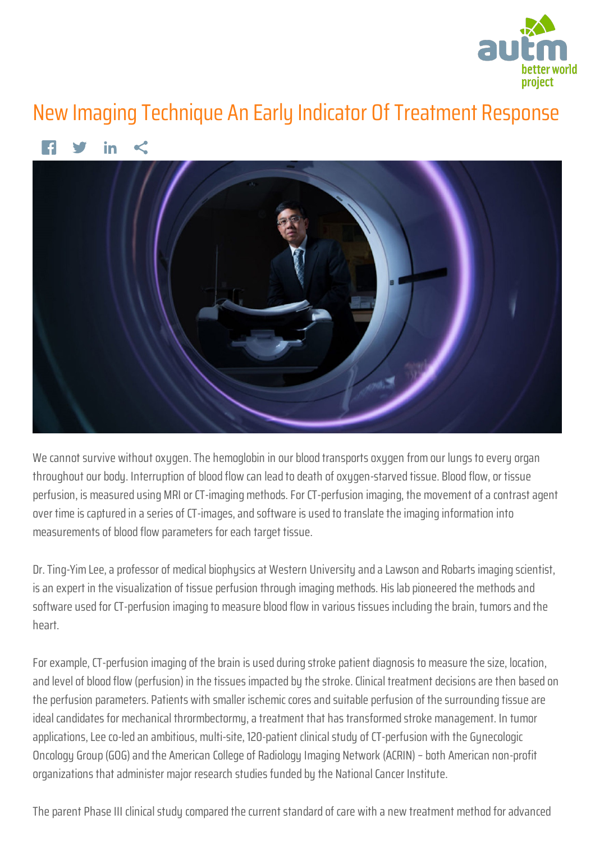

## New Imaging Technique An Early Indicator Of Treatment Response



We cannot survive without oxugen. The hemoglobin in our blood transports oxugen from our lungs to every organ throughout our body. Interruption of blood flow can lead to death of oxygen-starved tissue. Blood flow, or tissue perfusion, is measured using MRI or CT-imaging methods. For CT-perfusion imaging, the movement of a contrast agent over time is captured in a series of CT-images, and software is used to translate the imaging information into measurements of blood flow parameters for each target tissue.

Dr. Ting-Yim Lee, a professor of medical biophysics at Western University and a Lawson and Robarts imaging scientist, is an expert in the visualization of tissue perfusion through imaging methods. His lab pioneered the methods and software used for CT-perfusion imaging to measure blood flow in various tissues including the brain, tumors and the heart.

For example, CT-perfusion imaging of the brain is used during stroke patient diagnosis to measure the size, location, and level of blood flow (perfusion) in the tissues impacted by the stroke. Clinical treatment decisions are then based on the perfusion parameters. Patients with smaller ischemic cores and suitable perfusion of the surrounding tissue are ideal candidates for mechanical thrormbectormy, a treatment that has transformed stroke management. In tumor applications, Lee co-led an ambitious, multi-site, 120-patient clinical study of CT-perfusion with the Gynecologic Oncology Group (GOG) and the American College of Radiology Imaging Network (ACRIN) – both American non-profit organizations that administer major research studies funded by the National Cancer Institute.

The parent Phase III clinical study compared the current standard of care with a new treatment method for advanced